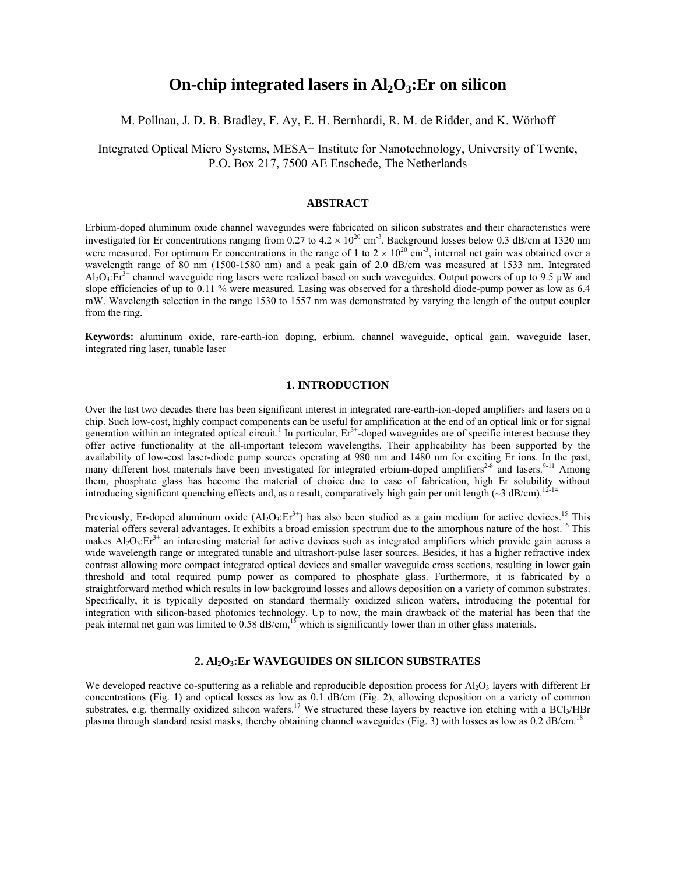# **On-chip integrated lasers in Al<sub>2</sub>O<sub>3</sub>: Er on silicon**

## M. Pollnau, J. D. B. Bradley, F. Ay, E. H. Bernhardi, R. M. de Ridder, and K. Wörhoff

Integrated Optical Micro Systems, MESA+ Institute for Nanotechnology, University of Twente, P.O. Box 217, 7500 AE Enschede, The Netherlands

#### **ABSTRACT**

Erbium-doped aluminum oxide channel waveguides were fabricated on silicon substrates and their characteristics were investigated for Er concentrations ranging from 0.27 to  $4.2 \times 10^{20}$  cm<sup>-3</sup>. Background losses below 0.3 dB/cm at 1320 nm were measured. For optimum Er concentrations in the range of 1 to  $2 \times 10^{20}$  cm<sup>-3</sup>, internal net gain was obtained over a wavelength range of 80 nm (1500-1580 nm) and a peak gain of 2.0 dB/cm was measured at 1533 nm. Integrated  $AI_2O_3$ : $EI_3^{3+}$  channel waveguide ring lasers were realized based on such waveguides. Output powers of up to 9.5 µW and slope efficiencies of up to 0.11 % were measured. Lasing was observed for a threshold diode-pump power as low as 6.4 mW. Wavelength selection in the range 1530 to 1557 nm was demonstrated by varying the length of the output coupler from the ring.

**Keywords:** aluminum oxide, rare-earth-ion doping, erbium, channel waveguide, optical gain, waveguide laser, integrated ring laser, tunable laser

# **1. INTRODUCTION**

Over the last two decades there has been significant interest in integrated rare-earth-ion-doped amplifiers and lasers on a chip. Such low-cost, highly compact components can be useful for amplification at the end of an optical link or for signal generation within an integrated optical circuit.<sup>1</sup> In particular,  $Er<sup>3+</sup>$ -doped waveguides are of specific interest because they offer active functionality at the all-important telecom wavelengths. Their applicability has been supported by the availability of low-cost laser-diode pump sources operating at 980 nm and 1480 nm for exciting Er ions. In the past, many different host materials have been investigated for integrated erbium-doped amplifiers<sup>2-8</sup> and lasers.<sup>9-11</sup> Among them, phosphate glass has become the material of choice due to ease of fabrication, high Er solubility without introducing significant quenching effects and, as a result, comparatively high gain per unit length ( $\sim$ 3 dB/cm).<sup>12-14</sup>

Previously, Er-doped aluminum oxide  $(AI_2O_3:Er^{3+})$  has also been studied as a gain medium for active devices.<sup>15</sup> This material offers several advantages. It exhibits a broad emission spectrum due to the amorphous nature of the host.<sup>16</sup> This makes  $Al_2O_3$ : $Er^{3+}$  an interesting material for active devices such as integrated amplifiers which provide gain across a wide wavelength range or integrated tunable and ultrashort-pulse laser sources. Besides, it has a higher refractive index contrast allowing more compact integrated optical devices and smaller waveguide cross sections, resulting in lower gain threshold and total required pump power as compared to phosphate glass. Furthermore, it is fabricated by a straightforward method which results in low background losses and allows deposition on a variety of common substrates. Specifically, it is typically deposited on standard thermally oxidized silicon wafers, introducing the potential for integration with silicon-based photonics technology. Up to now, the main drawback of the material has been that the peak internal net gain was limited to 0.58 dB/cm,<sup>15</sup> which is significantly lower than in other glass materials.

# **2. Al2O3:Er WAVEGUIDES ON SILICON SUBSTRATES**

We developed reactive co-sputtering as a reliable and reproducible deposition process for  $\text{Al}_2\text{O}_3$  layers with different Er concentrations (Fig. 1) and optical losses as low as 0.1 dB/cm (Fig. 2), allowing deposition on a variety of common substrates, e.g. thermally oxidized silicon wafers.<sup>17</sup> We structured these layers by reactive ion etching with a BCl<sub>3</sub>/HBr plasma through standard resist masks, thereby obtaining channel waveguides (Fig. 3) with losses as low as 0.2 dB/cm.<sup>18</sup>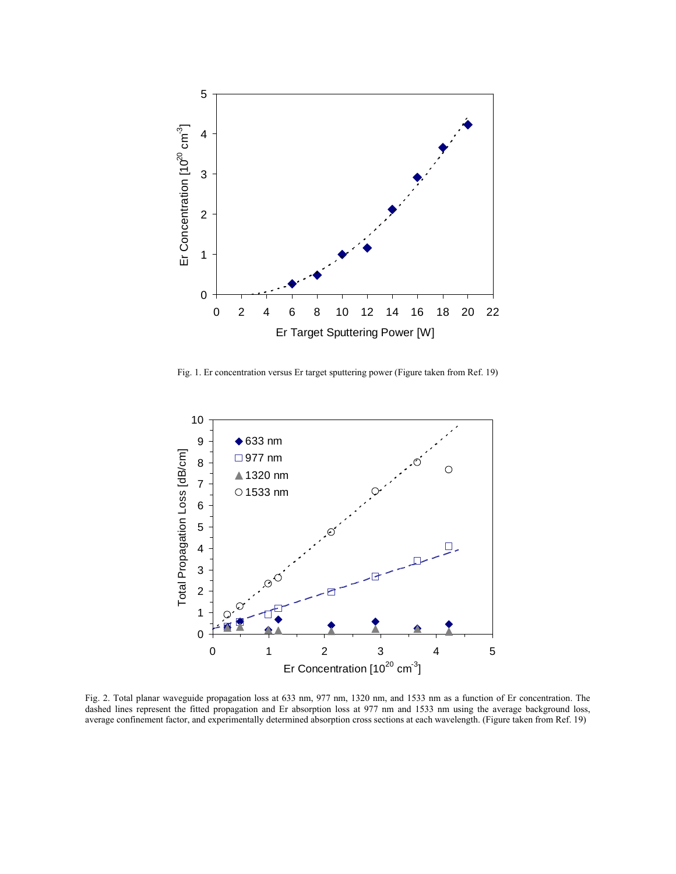

Fig. 1. Er concentration versus Er target sputtering power (Figure taken from Ref. 19)



Fig. 2. Total planar waveguide propagation loss at 633 nm, 977 nm, 1320 nm, and 1533 nm as a function of Er concentration. The dashed lines represent the fitted propagation and Er absorption loss at 977 nm and 1533 nm using the average background loss, average confinement factor, and experimentally determined absorption cross sections at each wavelength. (Figure taken from Ref. 19)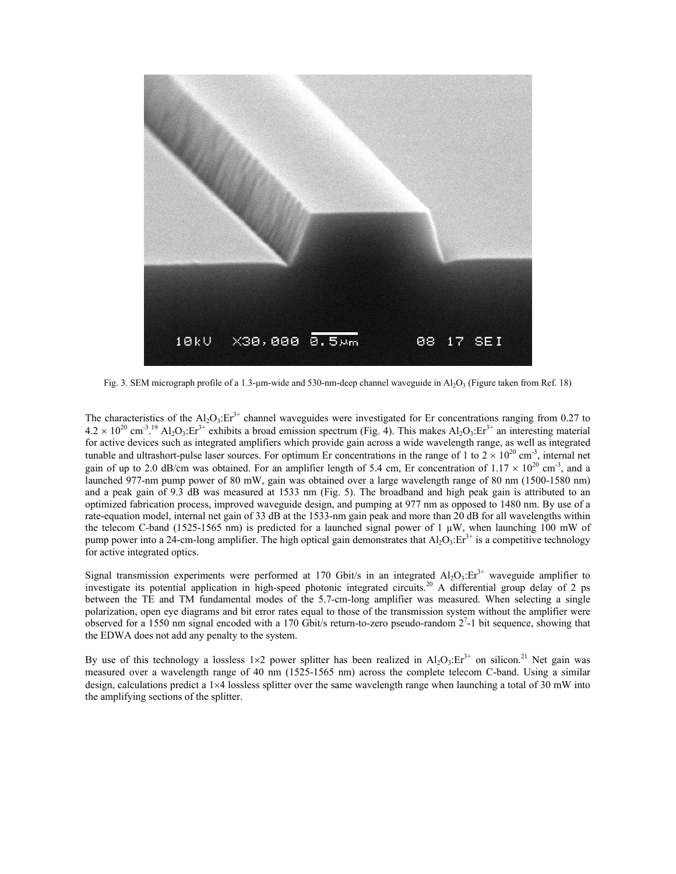

Fig. 3. SEM micrograph profile of a 1.3-µm-wide and 530-nm-deep channel waveguide in  $Al_2O_3$  (Figure taken from Ref. 18)

The characteristics of the  $Al_2O_3$ : Er<sup>3+</sup> channel waveguides were investigated for Er concentrations ranging from 0.27 to  $4.2 \times 10^{20}$  cm<sup>-3</sup>.<sup>19</sup> Al<sub>2</sub>O<sub>3</sub>:Er<sup>3+</sup> exhibits a broad emission spectrum (Fig. 4). This makes Al<sub>2</sub>O<sub>3</sub>:Er<sup>3+</sup> an interesting material for active devices such as integrated amplifiers which provide gain across a wide wavelength range, as well as integrated tunable and ultrashort-pulse laser sources. For optimum Er concentrations in the range of 1 to  $2 \times 10^{20}$  cm<sup>-3</sup>, internal net gain of up to 2.0 dB/cm was obtained. For an amplifier length of 5.4 cm, Er concentration of  $1.17 \times 10^{20}$  cm<sup>-3</sup>, and a launched 977-nm pump power of 80 mW, gain was obtained over a large wavelength range of 80 nm (1500-1580 nm) and a peak gain of 9.3 dB was measured at 1533 nm (Fig. 5). The broadband and high peak gain is attributed to an optimized fabrication process, improved waveguide design, and pumping at 977 nm as opposed to 1480 nm. By use of a rate-equation model, internal net gain of 33 dB at the 1533-nm gain peak and more than 20 dB for all wavelengths within the telecom C-band (1525-1565 nm) is predicted for a launched signal power of 1  $\mu$ W, when launching 100 mW of pump power into a 24-cm-long amplifier. The high optical gain demonstrates that  $Al_2O_3$ : $Er^{3+}$  is a competitive technology for active integrated optics.

Signal transmission experiments were performed at 170 Gbit/s in an integrated  $Al_2O_3$ : Er<sup>3+</sup> waveguide amplifier to investigate its potential application in high-speed photonic integrated circuits.<sup>20</sup> A differential group delay of 2 ps between the TE and TM fundamental modes of the 5.7-cm-long amplifier was measured. When selecting a single polarization, open eye diagrams and bit error rates equal to those of the transmission system without the amplifier were observed for a 1550 nm signal encoded with a 170 Gbit/s return-to-zero pseudo-random  $2^7$ -1 bit sequence, showing that the EDWA does not add any penalty to the system.

By use of this technology a lossless 1×2 power splitter has been realized in  $Al_2O_3$ : Er<sup>3+</sup> on silicon.<sup>21</sup> Net gain was measured over a wavelength range of 40 nm (1525-1565 nm) across the complete telecom C-band. Using a similar design, calculations predict a 1×4 lossless splitter over the same wavelength range when launching a total of 30 mW into the amplifying sections of the splitter.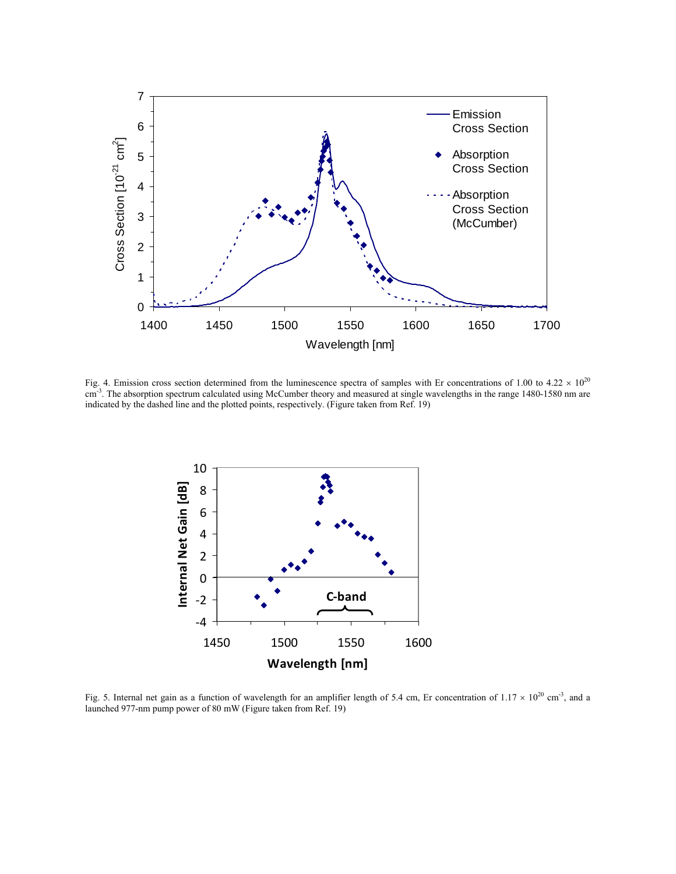

Fig. 4. Emission cross section determined from the luminescence spectra of samples with Er concentrations of 1.00 to 4.22  $\times$  10<sup>20</sup> cm<sup>-3</sup>. The absorption spectrum calculated using McCumber theory and measured at single wavelengths in the range 1480-1580 nm are indicated by the dashed line and the plotted points, respectively. (Figure taken from Ref. 19)



Fig. 5. Internal net gain as a function of wavelength for an amplifier length of 5.4 cm, Er concentration of  $1.17 \times 10^{20}$  cm<sup>-3</sup>, and a launched 977-nm pump power of 80 mW (Figure taken from Ref. 19)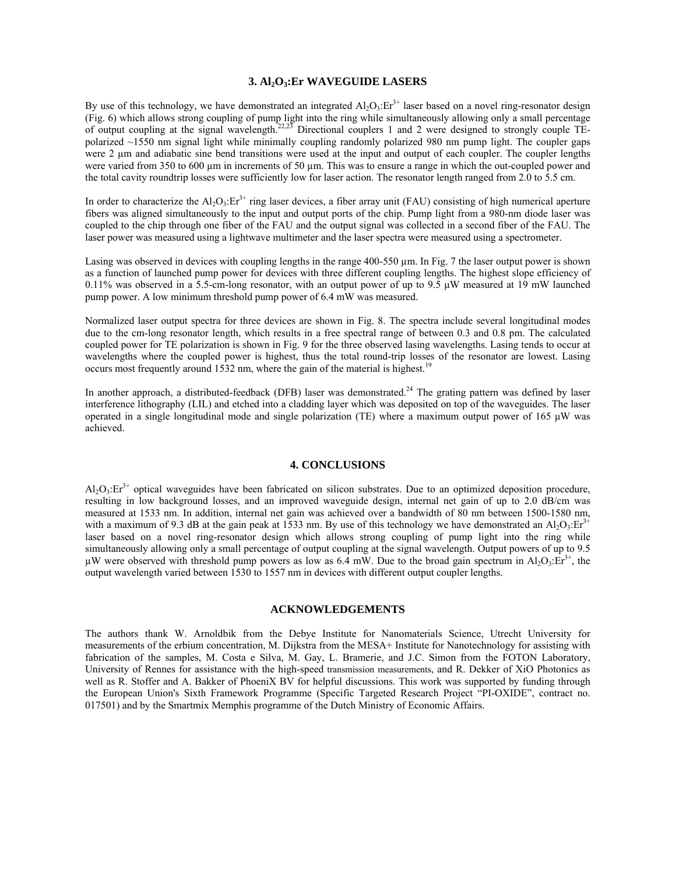#### **3. Al2O3:Er WAVEGUIDE LASERS**

By use of this technology, we have demonstrated an integrated  $Al_2O_3$ : $Er^{3+}$  laser based on a novel ring-resonator design (Fig. 6) which allows strong coupling of pump light into the ring while simultaneously allowing only a small percentage of output coupling at the signal wavelength.<sup>22,23</sup> Directional couplers 1 and 2 were designed to strongly couple TEpolarized ~1550 nm signal light while minimally coupling randomly polarized 980 nm pump light. The coupler gaps were 2 µm and adiabatic sine bend transitions were used at the input and output of each coupler. The coupler lengths were varied from 350 to 600 µm in increments of 50 µm. This was to ensure a range in which the out-coupled power and the total cavity roundtrip losses were sufficiently low for laser action. The resonator length ranged from 2.0 to 5.5 cm.

In order to characterize the  $Al_2O_3$ : Er<sup>3+</sup> ring laser devices, a fiber array unit (FAU) consisting of high numerical aperture fibers was aligned simultaneously to the input and output ports of the chip. Pump light from a 980-nm diode laser was coupled to the chip through one fiber of the FAU and the output signal was collected in a second fiber of the FAU. The laser power was measured using a lightwave multimeter and the laser spectra were measured using a spectrometer.

Lasing was observed in devices with coupling lengths in the range 400-550 µm. In Fig. 7 the laser output power is shown as a function of launched pump power for devices with three different coupling lengths. The highest slope efficiency of  $0.11\%$  was observed in a 5.5-cm-long resonator, with an output power of up to 9.5  $\mu$ W measured at 19 mW launched pump power. A low minimum threshold pump power of 6.4 mW was measured.

Normalized laser output spectra for three devices are shown in Fig. 8. The spectra include several longitudinal modes due to the cm-long resonator length, which results in a free spectral range of between 0.3 and 0.8 pm. The calculated coupled power for TE polarization is shown in Fig. 9 for the three observed lasing wavelengths. Lasing tends to occur at wavelengths where the coupled power is highest, thus the total round-trip losses of the resonator are lowest. Lasing occurs most frequently around 1532 nm, where the gain of the material is highest.<sup>1</sup>

In another approach, a distributed-feedback (DFB) laser was demonstrated.<sup>24</sup> The grating pattern was defined by laser interference lithography (LIL) and etched into a cladding layer which was deposited on top of the waveguides. The laser operated in a single longitudinal mode and single polarization (TE) where a maximum output power of 165 μW was achieved.

## **4. CONCLUSIONS**

 $AI_2O_3$ : Er<sup>3+</sup> optical waveguides have been fabricated on silicon substrates. Due to an optimized deposition procedure, resulting in low background losses, and an improved waveguide design, internal net gain of up to 2.0 dB/cm was measured at 1533 nm. In addition, internal net gain was achieved over a bandwidth of 80 nm between 1500-1580 nm, with a maximum of 9.3 dB at the gain peak at 1533 nm. By use of this technology we have demonstrated an Al<sub>2</sub>O<sub>3</sub>:Er<sup>3+</sup> laser based on a novel ring-resonator design which allows strong coupling of pump light into the ring while simultaneously allowing only a small percentage of output coupling at the signal wavelength. Output powers of up to 9.5 µW were observed with threshold pump powers as low as 6.4 mW. Due to the broad gain spectrum in Al<sub>2</sub>O<sub>3</sub>:Er<sup>3+</sup>, the output wavelength varied between 1530 to 1557 nm in devices with different output coupler lengths.

#### **ACKNOWLEDGEMENTS**

The authors thank W. Arnoldbik from the Debye Institute for Nanomaterials Science, Utrecht University for measurements of the erbium concentration, M. Dijkstra from the MESA+ Institute for Nanotechnology for assisting with fabrication of the samples, M. Costa e Silva, M. Gay, L. Bramerie, and J.C. Simon from the FOTON Laboratory, University of Rennes for assistance with the high-speed transmission measurements, and R. Dekker of XiO Photonics as well as R. Stoffer and A. Bakker of PhoeniX BV for helpful discussions. This work was supported by funding through the European Union's Sixth Framework Programme (Specific Targeted Research Project "PI-OXIDE", contract no. 017501) and by the Smartmix Memphis programme of the Dutch Ministry of Economic Affairs.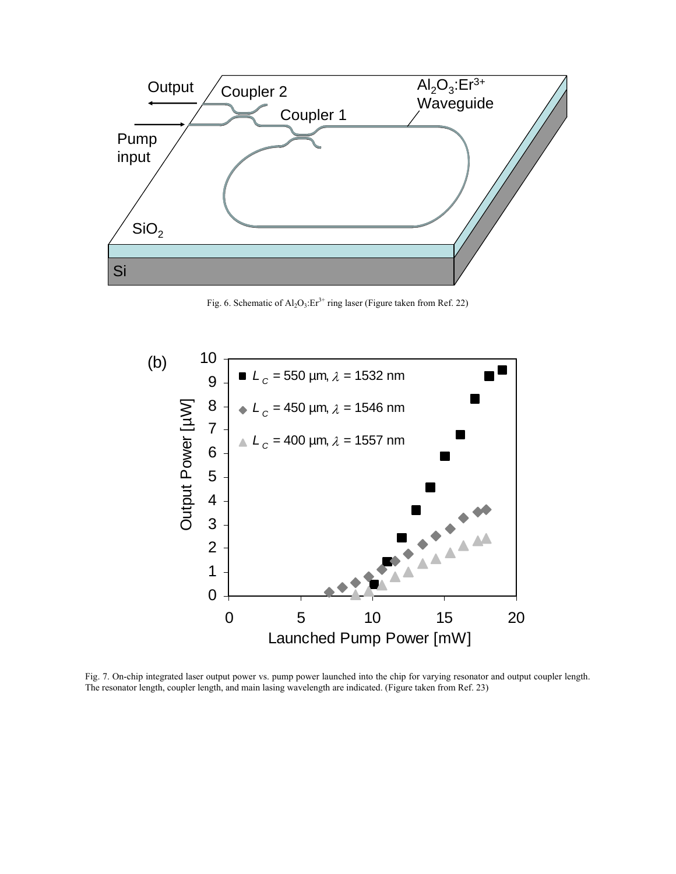

Fig. 6. Schematic of  $Al_2O_3$ : Er<sup>3+</sup> ring laser (Figure taken from Ref. 22)



Fig. 7. On-chip integrated laser output power vs. pump power launched into the chip for varying resonator and output coupler length. The resonator length, coupler length, and main lasing wavelength are indicated. (Figure taken from Ref. 23)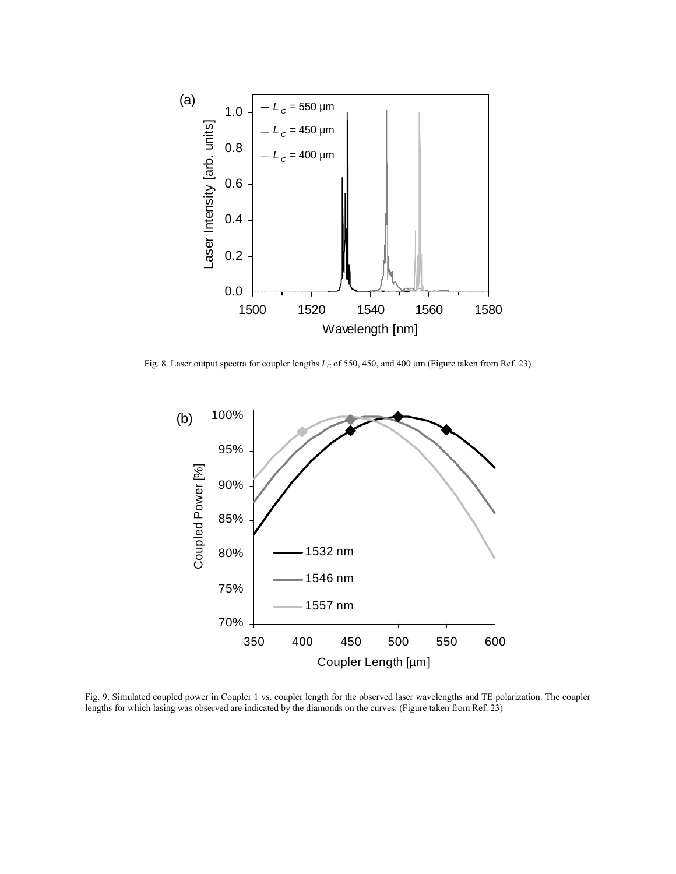

Fig. 8. Laser output spectra for coupler lengths *LC* of 550, 450, and 400 μm (Figure taken from Ref. 23)



Fig. 9. Simulated coupled power in Coupler 1 vs. coupler length for the observed laser wavelengths and TE polarization. The coupler lengths for which lasing was observed are indicated by the diamonds on the curves. (Figure taken from Ref. 23)